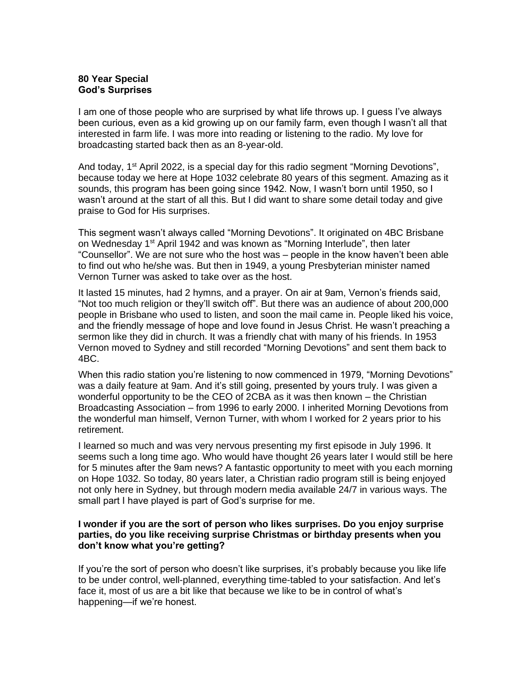## **80 Year Special God's Surprises**

I am one of those people who are surprised by what life throws up. I guess I've always been curious, even as a kid growing up on our family farm, even though I wasn't all that interested in farm life. I was more into reading or listening to the radio. My love for broadcasting started back then as an 8-year-old.

And today,  $1<sup>st</sup>$  April 2022, is a special day for this radio segment "Morning Devotions", because today we here at Hope 1032 celebrate 80 years of this segment. Amazing as it sounds, this program has been going since 1942. Now, I wasn't born until 1950, so I wasn't around at the start of all this. But I did want to share some detail today and give praise to God for His surprises.

This segment wasn't always called "Morning Devotions". It originated on 4BC Brisbane on Wednesday 1<sup>st</sup> April 1942 and was known as "Morning Interlude", then later "Counsellor". We are not sure who the host was – people in the know haven't been able to find out who he/she was. But then in 1949, a young Presbyterian minister named Vernon Turner was asked to take over as the host.

It lasted 15 minutes, had 2 hymns, and a prayer. On air at 9am, Vernon's friends said, "Not too much religion or they'll switch off". But there was an audience of about 200,000 people in Brisbane who used to listen, and soon the mail came in. People liked his voice, and the friendly message of hope and love found in Jesus Christ. He wasn't preaching a sermon like they did in church. It was a friendly chat with many of his friends. In 1953 Vernon moved to Sydney and still recorded "Morning Devotions" and sent them back to 4BC.

When this radio station you're listening to now commenced in 1979, "Morning Devotions" was a daily feature at 9am. And it's still going, presented by yours truly. I was given a wonderful opportunity to be the CEO of 2CBA as it was then known – the Christian Broadcasting Association – from 1996 to early 2000. I inherited Morning Devotions from the wonderful man himself, Vernon Turner, with whom I worked for 2 years prior to his retirement.

I learned so much and was very nervous presenting my first episode in July 1996. It seems such a long time ago. Who would have thought 26 years later I would still be here for 5 minutes after the 9am news? A fantastic opportunity to meet with you each morning on Hope 1032. So today, 80 years later, a Christian radio program still is being enjoyed not only here in Sydney, but through modern media available 24/7 in various ways. The small part I have played is part of God's surprise for me.

## **I wonder if you are the sort of person who likes surprises. Do you enjoy surprise parties, do you like receiving surprise Christmas or birthday presents when you don't know what you're getting?**

If you're the sort of person who doesn't like surprises, it's probably because you like life to be under control, well-planned, everything time-tabled to your satisfaction. And let's face it, most of us are a bit like that because we like to be in control of what's happening—if we're honest.